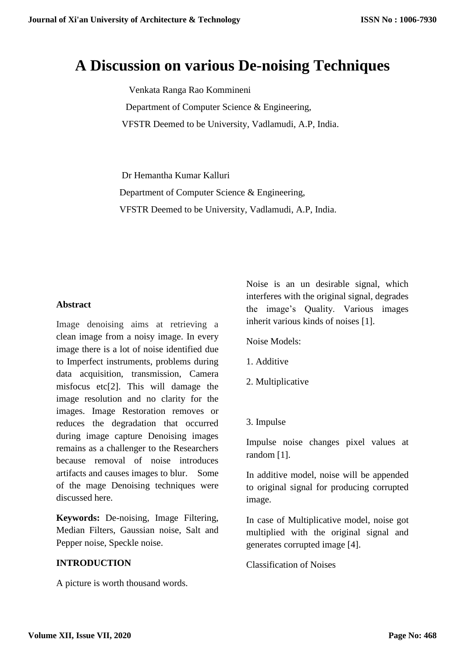# **A Discussion on various De-noising Techniques**

 Venkata Ranga Rao Kommineni Department of Computer Science & Engineering, VFSTR Deemed to be University, Vadlamudi, A.P, India.

 Dr Hemantha Kumar Kalluri Department of Computer Science & Engineering, VFSTR Deemed to be University, Vadlamudi, A.P, India.

#### **Abstract**

Image denoising aims at retrieving a clean image from a noisy image. In every image there is a lot of noise identified due to Imperfect instruments, problems during data acquisition, transmission, Camera misfocus etc[2]. This will damage the image resolution and no clarity for the images. Image Restoration removes or reduces the degradation that occurred during image capture Denoising images remains as a challenger to the Researchers because removal of noise introduces artifacts and causes images to blur. Some of the mage Denoising techniques were discussed here.

**Keywords:** De-noising, Image Filtering, Median Filters, Gaussian noise, Salt and Pepper noise, Speckle noise.

#### **INTRODUCTION**

A picture is worth thousand words.

Noise is an un desirable signal, which interferes with the original signal, degrades the image's Quality. Various images inherit various kinds of noises [1].

Noise Models:

- 1. Additive
- 2. Multiplicative
- 3. Impulse

Impulse noise changes pixel values at random [1].

In additive model, noise will be appended to original signal for producing corrupted image.

In case of Multiplicative model, noise got multiplied with the original signal and generates corrupted image [4].

Classification of Noises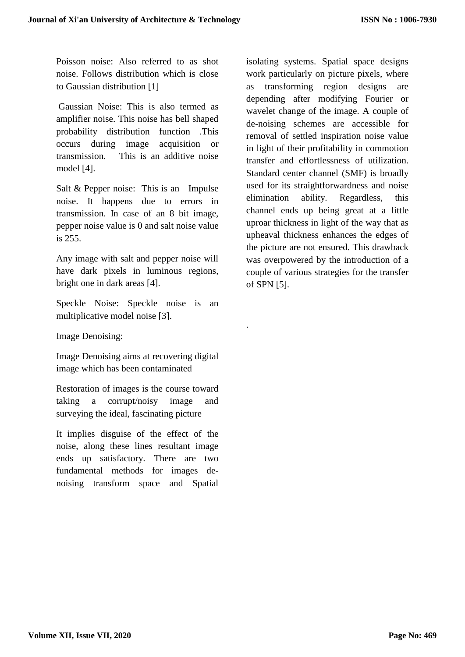Poisson noise: Also referred to as shot noise. Follows distribution which is close to Gaussian distribution [1]

Gaussian Noise: This is also termed as amplifier noise. This noise has bell shaped probability distribution function .This occurs during image acquisition or transmission. This is an additive noise model [4].

Salt & Pepper noise: This is an Impulse noise. It happens due to errors in transmission. In case of an 8 bit image, pepper noise value is 0 and salt noise value is 255.

Any image with salt and pepper noise will have dark pixels in luminous regions, bright one in dark areas [4].

Speckle Noise: Speckle noise is an multiplicative model noise [3].

.

Image Denoising:

Image Denoising aims at recovering digital image which has been contaminated

Restoration of images is the course toward taking a corrupt/noisy image and surveying the ideal, fascinating picture

It implies disguise of the effect of the noise, along these lines resultant image ends up satisfactory. There are two fundamental methods for images denoising transform space and Spatial isolating systems. Spatial space designs work particularly on picture pixels, where as transforming region designs are depending after modifying Fourier or wavelet change of the image. A couple of de-noising schemes are accessible for removal of settled inspiration noise value in light of their profitability in commotion transfer and effortlessness of utilization. Standard center channel (SMF) is broadly used for its straightforwardness and noise elimination ability. Regardless, this channel ends up being great at a little uproar thickness in light of the way that as upheaval thickness enhances the edges of the picture are not ensured. This drawback was overpowered by the introduction of a couple of various strategies for the transfer of SPN [5].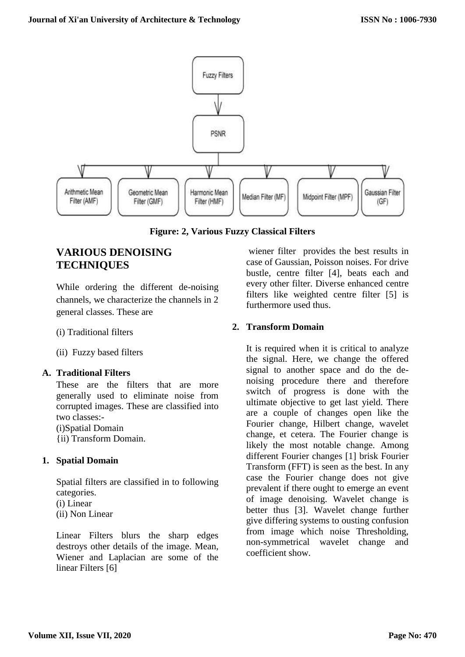

**Figure: 2, Various Fuzzy Classical Filters**

# **VARIOUS DENOISING TECHNIQUES**

While ordering the different de-noising channels, we characterize the channels in 2 general classes. These are

(i) Traditional filters

(ii) Fuzzy based filters

#### **A. Traditional Filters**

These are the filters that are more generally used to eliminate noise from corrupted images. These are classified into two classes:- (i)Spatial Domain

{ii) Transform Domain.

#### **1. Spatial Domain**

Spatial filters are classified in to following categories. (i) Linear (ii) Non Linear

Linear Filters blurs the sharp edges destroys other details of the image. Mean, Wiener and Laplacian are some of the linear Filters [6]

wiener filter provides the best results in case of Gaussian, Poisson noises. For drive bustle, centre filter [4], beats each and every other filter. Diverse enhanced centre filters like weighted centre filter [5] is furthermore used thus.

## **2. Transform Domain**

It is required when it is critical to analyze the signal. Here, we change the offered signal to another space and do the denoising procedure there and therefore switch of progress is done with the ultimate objective to get last yield. There are a couple of changes open like the Fourier change, Hilbert change, wavelet change, et cetera. The Fourier change is likely the most notable change. Among different Fourier changes [1] brisk Fourier Transform (FFT) is seen as the best. In any case the Fourier change does not give prevalent if there ought to emerge an event of image denoising. Wavelet change is better thus [3]. Wavelet change further give differing systems to ousting confusion from image which noise Thresholding, non-symmetrical wavelet change and coefficient show.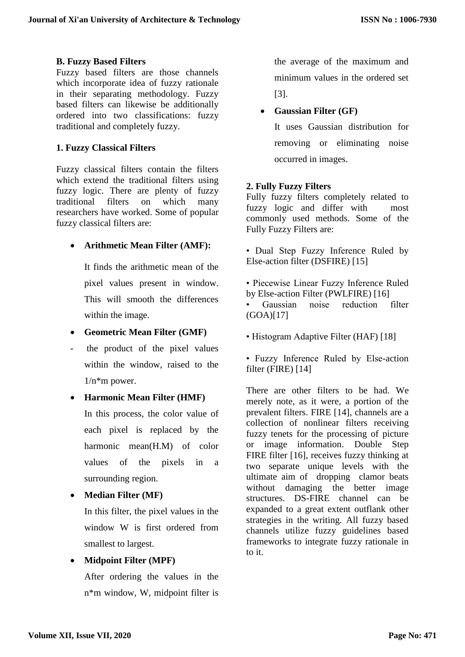#### **B. Fuzzy Based Filters**

Fuzzy based filters are those channels which incorporate idea of fuzzy rationale in their separating methodology. Fuzzy based filters can likewise be additionally ordered into two classifications: fuzzy traditional and completely fuzzy.

#### **1. Fuzzy Classical Filters**

Fuzzy classical filters contain the filters which extend the traditional filters using fuzzy logic. There are plenty of fuzzy traditional filters on which many researchers have worked. Some of popular fuzzy classical filters are:

#### **Arithmetic Mean Filter (AMF):**

It finds the arithmetic mean of the pixel values present in window. This will smooth the differences within the image.

- **Geometric Mean Filter (GMF)**
- the product of the pixel values within the window, raised to the  $1/n$ <sup>\*</sup>m power.

#### **Harmonic Mean Filter (HMF)**

In this process, the color value of each pixel is replaced by the harmonic mean(H.M) of color values of the pixels in a surrounding region.

**Median Filter (MF)** 

In this filter, the pixel values in the window W is first ordered from smallest to largest.

#### **Midpoint Filter (MPF)**

After ordering the values in the n\*m window, W, midpoint filter is the average of the maximum and minimum values in the ordered set [3].

#### **Gaussian Filter (GF)**

It uses Gaussian distribution for removing or eliminating noise occurred in images.

#### **2. Fully Fuzzy Filters**

Fully fuzzy filters completely related to fuzzy logic and differ with most commonly used methods. Some of the Fully Fuzzy Filters are:

- Dual Step Fuzzy Inference Ruled by Else-action filter (DSFIRE) [15]
- Piecewise Linear Fuzzy Inference Ruled by Else-action Filter (PWLFIRE) [16]
- Gaussian noise reduction filter (GOA)[17]
- Histogram Adaptive Filter (HAF) [18]

• Fuzzy Inference Ruled by Else-action filter (FIRE) [14]

There are other filters to be had. We merely note, as it were, a portion of the prevalent filters. FIRE [14], channels are a collection of nonlinear filters receiving fuzzy tenets for the processing of picture or image information. Double Step FIRE filter [16], receives fuzzy thinking at two separate unique levels with the ultimate aim of dropping clamor beats without damaging the better image structures. DS-FIRE channel can be expanded to a great extent outflank other strategies in the writing. All fuzzy based channels utilize fuzzy guidelines based frameworks to integrate fuzzy rationale in to it.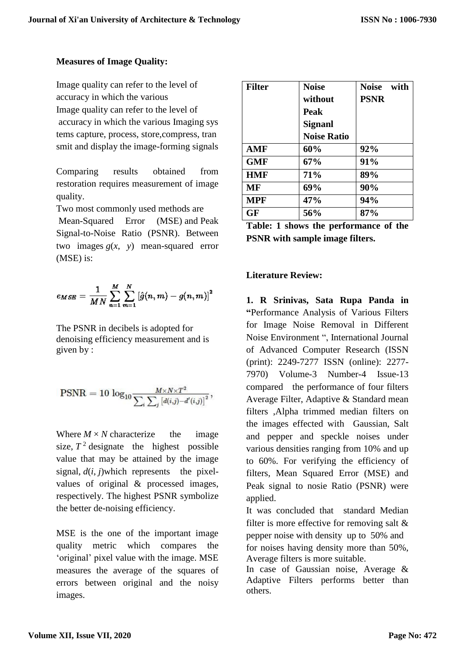# **Measures of Image Quality:**

Image quality can refer to the level of accuracy in which the various Image quality can refer to the level of accuracy in which the various Imaging sys tems capture, process, store,compress, tran smit and display the image-forming signals

Comparing results obtained from restoration requires measurement of image quality.

Two most commonly used methods are

Mean-Squared Error (MSE) and Peak Signal-to-Noise Ratio (PSNR). Between two images  $g(x, y)$  mean-squared error (MSE) is:

$$
e_{MSE} = \frac{1}{MN} \sum_{n=1}^{M} \sum_{m=1}^{N} \left[ \hat{g}(n, m) - g(n, m) \right]^2
$$

The PSNR in decibels is adopted for denoising efficiency measurement and is given by :

$$
\text{PSNR} = 10\,\log_{10}\!\frac{M\!\times\!N\!\times\!T^2}{\sum_i\sum_j\left[d(i,j)\!-\!d'(i,j)\right]^2},
$$

Where  $M \times N$  characterize the image size,  $T^2$  designate the highest possible value that may be attained by the image signal,  $d(i, j)$ which represents the pixelvalues of original & processed images, respectively. The highest PSNR symbolize the better de-noising efficiency.

MSE is the one of the important image quality metric which compares the 'original' pixel value with the image. MSE measures the average of the squares of errors between original and the noisy images.

| <b>Filter</b> | <b>Noise</b>                               | Noise with  |
|---------------|--------------------------------------------|-------------|
|               | without                                    | <b>PSNR</b> |
|               | <b>Peak</b>                                |             |
|               | <b>Signanl</b>                             |             |
|               | <b>Noise Ratio</b>                         |             |
| <b>AMF</b>    | 60%                                        | 92%         |
| <b>GMF</b>    | 67%                                        | 91%         |
| <b>HMF</b>    | 71%                                        | 89%         |
| MF            | 69%                                        | 90%         |
| <b>MPF</b>    | 47%                                        | 94%         |
| GF            | 56%                                        | 87%         |
|               | .e.<br>The Libert of the Lorentz of Libert | <b></b>     |

| Table: 1 shows the performance of the  |  |
|----------------------------------------|--|
| <b>PSNR</b> with sample image filters. |  |

## **Literature Review:**

**1. R Srinivas, Sata Rupa Panda in "**Performance Analysis of Various Filters for Image Noise Removal in Different Noise Environment ", International Journal of Advanced Computer Research (ISSN (print): 2249-7277 ISSN (online): 2277- 7970) Volume-3 Number-4 Issue-13 compared the performance of four filters Average Filter, Adaptive & Standard mean filters ,Alpha trimmed median filters on the images effected with Gaussian, Salt and pepper and speckle noises under various densities ranging from 10% and up to 60%. For verifying the efficiency of filters, Mean Squared Error (MSE) and Peak signal to nosie Ratio (PSNR) were applied.

It was concluded that standard Median filter is more effective for removing salt  $\&$ pepper noise with density up to 50% and for noises having density more than 50%, Average filters is more suitable.

In case of Gaussian noise, Average & Adaptive Filters performs better than others.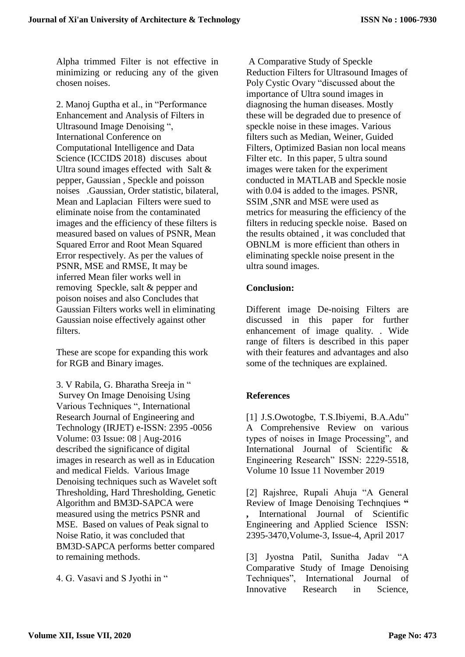Alpha trimmed Filter is not effective in minimizing or reducing any of the given chosen noises.

2. Manoj Guptha et al., in "Performance Enhancement and Analysis of Filters in Ultrasound Image Denoising ", International Conference on Computational Intelligence and Data Science (ICCIDS 2018) discuses about Ultra sound images effected with Salt & pepper, Gaussian , Speckle and poisson noises .Gaussian, Order statistic, bilateral, Mean and Laplacian Filters were sued to eliminate noise from the contaminated images and the efficiency of these filters is measured based on values of PSNR, Mean Squared Error and Root Mean Squared Error respectively. As per the values of PSNR, MSE and RMSE, It may be inferred Mean filer works well in removing Speckle, salt & pepper and poison noises and also Concludes that Gaussian Filters works well in eliminating Gaussian noise effectively against other filters.

These are scope for expanding this work for RGB and Binary images.

3. V Rabila, G. Bharatha Sreeja in " Survey On Image Denoising Using Various Techniques ", International Research Journal of Engineering and Technology (IRJET) e-ISSN: 2395 -0056 Volume: 03 Issue: 08 | Aug-2016 described the significance of digital images in research as well as in Education and medical Fields. Various Image Denoising techniques such as Wavelet soft Thresholding, Hard Thresholding, Genetic Algorithm and BM3D-SAPCA were measured using the metrics PSNR and MSE. Based on values of Peak signal to Noise Ratio, it was concluded that BM3D-SAPCA performs better compared to remaining methods.

4. G. Vasavi and S Jyothi in "

A Comparative Study of Speckle Reduction Filters for Ultrasound Images of Poly Cystic Ovary "discussed about the importance of Ultra sound images in diagnosing the human diseases. Mostly these will be degraded due to presence of speckle noise in these images. Various filters such as Median, Weiner, Guided Filters, Optimized Basian non local means Filter etc. In this paper, 5 ultra sound images were taken for the experiment conducted in MATLAB and Speckle nosie with 0.04 is added to the images. PSNR, SSIM ,SNR and MSE were used as metrics for measuring the efficiency of the filters in reducing speckle noise. Based on the results obtained , it was concluded that OBNLM is more efficient than others in eliminating speckle noise present in the ultra sound images.

## **Conclusion:**

Different image De-noising Filters are discussed in this paper for further enhancement of image quality. . Wide range of filters is described in this paper with their features and advantages and also some of the techniques are explained.

# **References**

[1] J.S.Owotogbe, T.S.Ibiyemi, B.A.Adu" A Comprehensive Review on various types of noises in Image Processing", and International Journal of Scientific & Engineering Research" ISSN: 2229-5518, Volume 10 Issue 11 November 2019

[2] Rajshree, Rupali Ahuja "A General Review of Image Denoising Technqiues " **,** International Journal of Scientific Engineering and Applied Science ISSN: 2395-3470,Volume-3, Issue-4, April 2017

[3] Jyostna Patil, Sunitha Jadav "A Comparative Study of Image Denoising Techniques", International Journal of Innovative Research in Science,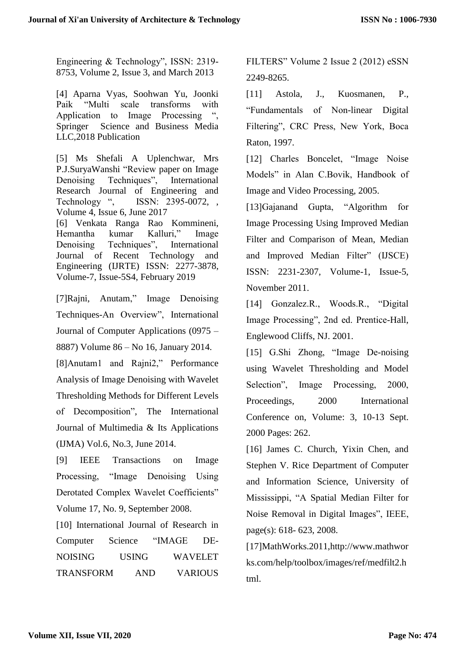Engineering & Technology", ISSN: 2319- 8753, Volume 2, Issue 3, and March 2013

[4] Aparna Vyas, Soohwan Yu, Joonki Paik "Multi scale transforms with Application to Image Processing ", Springer Science and Business Media LLC,2018 Publication

[5] Ms Shefali A Uplenchwar, Mrs P.J.SuryaWanshi "Review paper on Image Denoising Techniques", International Research Journal of Engineering and Technology ", ISSN: 2395-0072, , Volume 4, Issue 6, June 2017 [6] Venkata Ranga Rao Kommineni, Hemantha kumar Kalluri," Image Denoising Techniques", International Journal of Recent Technology and Engineering (IJRTE) ISSN: 2277-3878, Volume-7, Issue-5S4, February 2019

[7]Rajni, Anutam," Image Denoising Techniques-An Overview", International Journal of Computer Applications (0975 – 8887) Volume 86 – No 16, January 2014.

[8]Anutam1 and Rajni2," Performance Analysis of Image Denoising with Wavelet Thresholding Methods for Different Levels of Decomposition", The International Journal of Multimedia & Its Applications (IJMA) Vol.6, No.3, June 2014.

[9] IEEE Transactions on Image Processing, "Image Denoising Using Derotated Complex Wavelet Coefficients" Volume 17, No. 9, September 2008.

[10] International Journal of Research in Computer Science "IMAGE DE-NOISING USING WAVELET TRANSFORM AND VARIOUS

FILTERS" Volume 2 Issue 2 (2012) eSSN 2249-8265.

[11] Astola, J., Kuosmanen, P., "Fundamentals of Non-linear Digital Filtering", CRC Press, New York, Boca Raton, 1997.

[12] Charles Boncelet, "Image Noise Models" in Alan C.Bovik, Handbook of Image and Video Processing, 2005.

[13]Gajanand Gupta, "Algorithm for Image Processing Using Improved Median Filter and Comparison of Mean, Median and Improved Median Filter" (IJSCE) ISSN: 2231-2307, Volume-1, Issue-5, November 2011.

[14] Gonzalez.R., Woods.R., "Digital Image Processing", 2nd ed. Prentice-Hall, Englewood Cliffs, NJ. 2001.

[15] G.Shi Zhong, "Image De-noising using Wavelet Thresholding and Model Selection", Image Processing, 2000, Proceedings, 2000 International Conference on, Volume: 3, 10-13 Sept. 2000 Pages: 262.

[16] James C. Church, Yixin Chen, and Stephen V. Rice Department of Computer and Information Science, University of Mississippi, "A Spatial Median Filter for Noise Removal in Digital Images", IEEE, page(s): 618- 623, 2008.

[17]MathWorks.2011,http://www.mathwor ks.com/help/toolbox/images/ref/medfilt2.h tml.